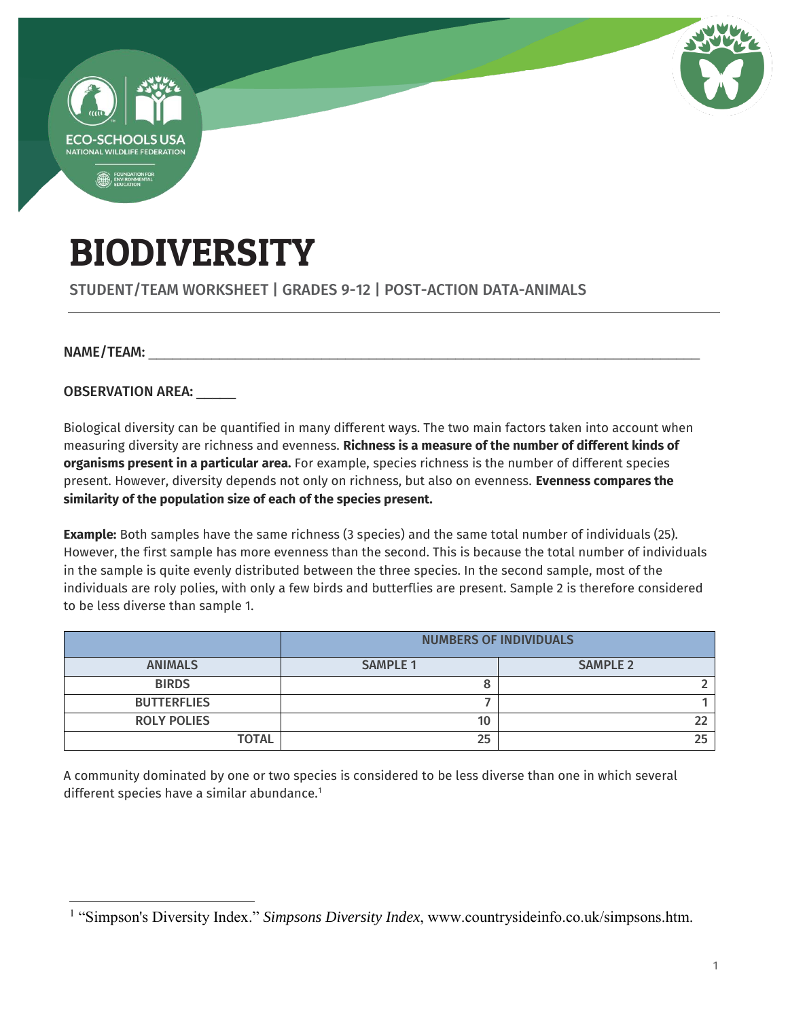

# BIODIVERSITY

STUDENT/TEAM WORKSHEET | GRADES 9-12 | POST-ACTION DATA-ANIMALS

NAME/TEAM:

 $\overline{a}$ 

OBSERVATION AREA:

Biological diversity can be quantified in many different ways. The two main factors taken into account when measuring diversity are richness and evenness. **Richness is a measure of the number of different kinds of organisms present in a particular area.** For example, species richness is the number of different species present. However, diversity depends not only on richness, but also on evenness. **Evenness compares the similarity of the population size of each of the species present.**

**Example:** Both samples have the same richness (3 species) and the same total number of individuals (25). However, the first sample has more evenness than the second. This is because the total number of individuals in the sample is quite evenly distributed between the three species. In the second sample, most of the individuals are roly polies, with only a few birds and butterflies are present. Sample 2 is therefore considered to be less diverse than sample 1.

|                    | <b>NUMBERS OF INDIVIDUALS</b> |                 |  |
|--------------------|-------------------------------|-----------------|--|
| <b>ANIMALS</b>     | <b>SAMPLE 1</b>               | <b>SAMPLE 2</b> |  |
| <b>BIRDS</b>       |                               |                 |  |
| <b>BUTTERFLIES</b> |                               |                 |  |
| <b>ROLY POLIES</b> | 10                            |                 |  |
| <b>TOTAL</b>       | 25                            |                 |  |

A community dominated by one or two species is considered to be less diverse than one in which several different species have a similar abundance.<sup>1</sup>

<sup>&</sup>lt;sup>1</sup> "Simpson's Diversity Index." *Simpsons Diversity Index*, www.countrysideinfo.co.uk/simpsons.htm.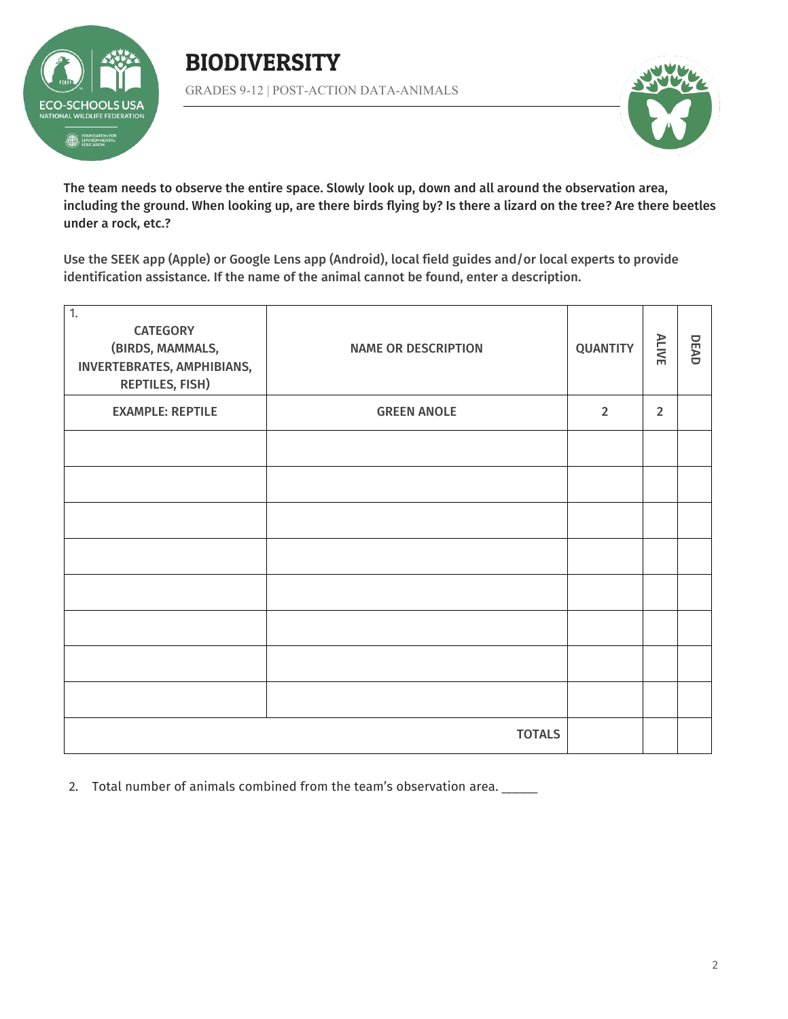

### BIODIVERSITY GRADES 9-12 | POST-ACTION DATA-ANIMALS



The team needs to observe the entire space. Slowly look up, down and all around the observation area, including the ground. When looking up, are there birds flying by? Is there a lizard on the tree? Are there beetles under a rock, etc.?

Use the SEEK app (Apple) or Google Lens app (Android), local field guides and/or local experts to provide identification assistance. If the name of the animal cannot be found, enter a description.

| $\overline{1}$ .<br><b>CATEGORY</b><br>(BIRDS, MAMMALS,<br>INVERTEBRATES, AMPHIBIANS,<br><b>REPTILES, FISH)</b> | <b>NAME OR DESCRIPTION</b> | <b>QUANTITY</b> | ALIVE          | DEAD |
|-----------------------------------------------------------------------------------------------------------------|----------------------------|-----------------|----------------|------|
| <b>EXAMPLE: REPTILE</b>                                                                                         | <b>GREEN ANOLE</b>         | $\overline{2}$  | $\overline{2}$ |      |
|                                                                                                                 |                            |                 |                |      |
|                                                                                                                 |                            |                 |                |      |
|                                                                                                                 |                            |                 |                |      |
|                                                                                                                 |                            |                 |                |      |
|                                                                                                                 |                            |                 |                |      |
|                                                                                                                 |                            |                 |                |      |
|                                                                                                                 |                            |                 |                |      |
|                                                                                                                 |                            |                 |                |      |
| <b>TOTALS</b>                                                                                                   |                            |                 |                |      |

2. Total number of animals combined from the team's observation area. \_\_\_\_\_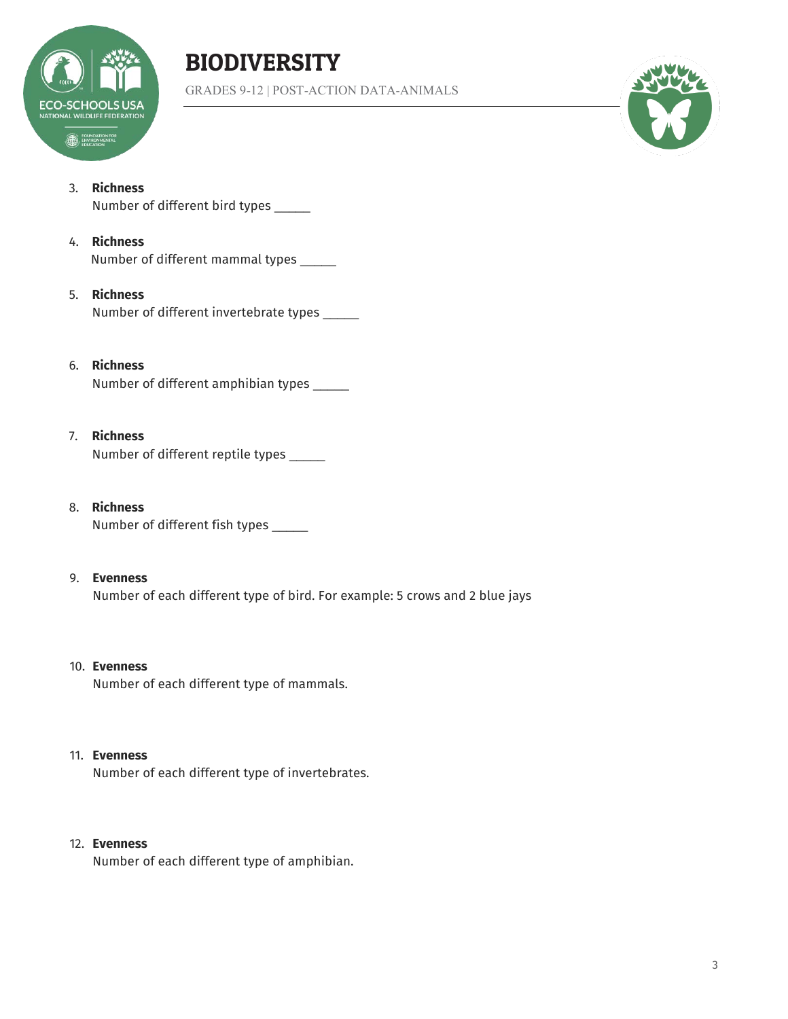

# BIODIVERSITY

GRADES 9-12 | POST-ACTION DATA-ANIMALS



#### 3. **Richness**

Number of different bird types \_\_\_\_\_

#### 4. **Richness**

Number of different mammal types \_\_\_\_\_

#### 5. **Richness**

Number of different invertebrate types \_\_\_\_\_

#### 6. **Richness**

Number of different amphibian types \_\_\_\_\_

#### 7. **Richness**

Number of different reptile types \_\_\_\_\_

#### 8. **Richness** Number of different fish types \_\_\_\_\_

#### 9. **Evenness**

Number of each different type of bird. For example: 5 crows and 2 blue jays

#### 10. **Evenness**

Number of each different type of mammals.

#### 11. **Evenness**

Number of each different type of invertebrates.

#### 12. **Evenness**

Number of each different type of amphibian.